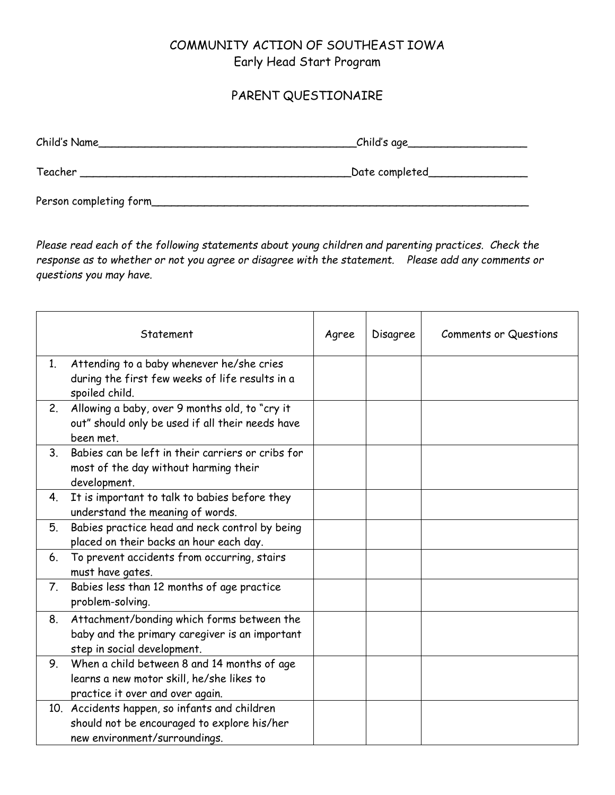## COMMUNITY ACTION OF SOUTHEAST IOWA Early Head Start Program

## PARENT QUESTIONAIRE

| Child's Name            | _Child's age_    |
|-------------------------|------------------|
| Teacher                 | _Date completed_ |
| Person completing form_ |                  |

*Please read each of the following statements about young children and parenting practices. Check the response as to whether or not you agree or disagree with the statement. Please add any comments or questions you may have.* 

|                | Statement                                                                                                                     | Agree | Disagree | Comments or Questions |
|----------------|-------------------------------------------------------------------------------------------------------------------------------|-------|----------|-----------------------|
| 1.             | Attending to a baby whenever he/she cries<br>during the first few weeks of life results in a<br>spoiled child.                |       |          |                       |
| 2.             | Allowing a baby, over 9 months old, to "cry it<br>out" should only be used if all their needs have<br>been met.               |       |          |                       |
| 3 <sub>1</sub> | Babies can be left in their carriers or cribs for<br>most of the day without harming their<br>development.                    |       |          |                       |
| 4.             | It is important to talk to babies before they<br>understand the meaning of words.                                             |       |          |                       |
| 5.             | Babies practice head and neck control by being<br>placed on their backs an hour each day.                                     |       |          |                       |
| 6.             | To prevent accidents from occurring, stairs<br>must have gates.                                                               |       |          |                       |
| 7.             | Babies less than 12 months of age practice<br>problem-solving.                                                                |       |          |                       |
| 8.             | Attachment/bonding which forms between the<br>baby and the primary caregiver is an important<br>step in social development.   |       |          |                       |
| 9.             | When a child between 8 and 14 months of age<br>learns a new motor skill, he/she likes to<br>practice it over and over again.  |       |          |                       |
|                | 10. Accidents happen, so infants and children<br>should not be encouraged to explore his/her<br>new environment/surroundings. |       |          |                       |